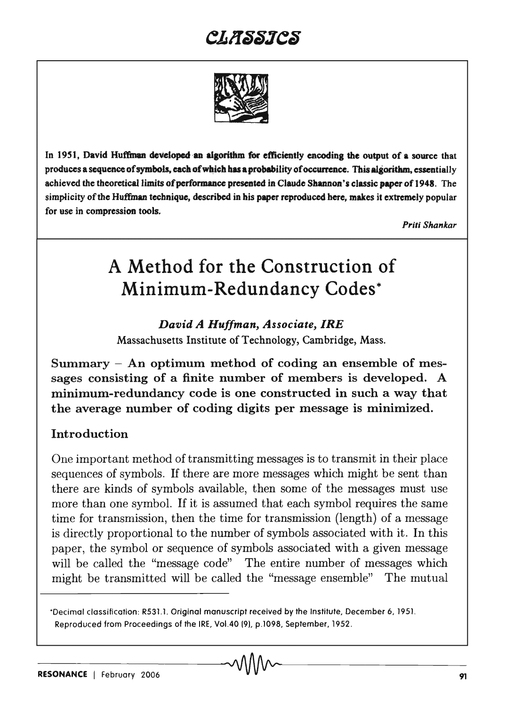

In 1951, David Huffman developed an algorithm for efficiently encoding the output of a source that produces a sequence of symbols, each of which has a probability of occurrence. This algorithm, essentially achieved the theoretical limits of performance presented in Claude Shannon's classic paper of 1948. The simplicity of the Huffman technique, described in his paper reproduced here, makes it extremely popular for use in compression tools.

*Priti Shankar* 

# A Method for the Construction of Minimum-Redundancy Codes\*

*David A Huffman, Associate, IRE*  Massachusetts Institute of Technology, Cambridge, Mass.

Summary  $-$  An optimum method of coding an ensemble of messages consisting of a finite number of members is developed. A minimum-redundancy code is one constructed in such a way that the average number of coding digits per message is minimized.

### Introduction

One important method of transmitting messages is to transmit in their place sequences of symbols. If there are more messages which might be sent than there are kinds of symbols available, then some of the messages must use more than one symbol. If it is assumed that each symbol requires the same time for transmission, then the time for transmission (length) of a message is directly proportional to the number of symbols associated with it. In this paper, the symbol or sequence of symbols associated with a given message will be called the "message code" The entire number of messages which might be transmitted will be called the "message ensemble" The mutual

<sup>&#</sup>x27;Decimal classification: R531.1. Original manuscript received by the Institute, December 6,1951. Reproduced from Proceedings of the IRE, Vol.40 (9). p.1098, September, 1952.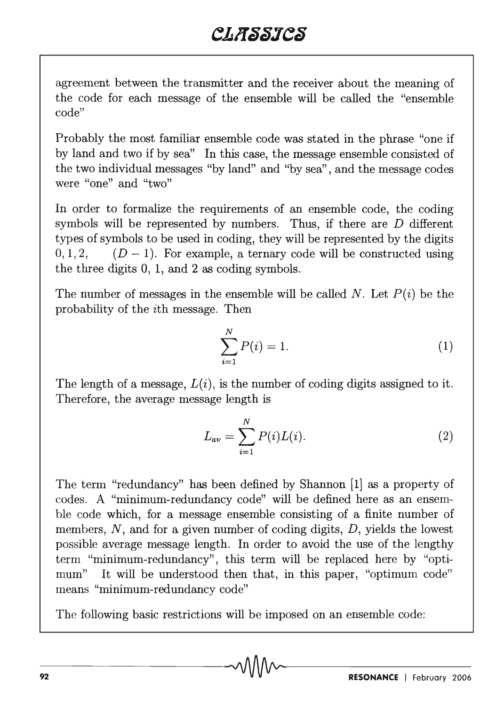agreement between the transmitter and the receiver about the meaning of the code for each message of the ensemble will be called the "ensemble code"

Probably the most familiar ensemble code was stated in the phrase "one if by land and two if by sea" In this case, the message ensemble consisted of the two individual messages "by land" and "by sea" , and the message codes were "one" and "two"

In order to formalize the requirements of an ensemble code, the coding symbols will be represented by numbers. Thus, if there are *D* different types of symbols to be used in coding, they will be represented by the digits  $0,1,2,$   $(D-1)$ . For example, a ternary code will be constructed using the three digits 0, 1, and 2 as coding symbols.

The number of messages in the ensemble will be called *N.* Let *P(i)* be the probability of the ith message. Then

$$
\sum_{i=1}^{N} P(i) = 1.
$$
 (1)

The length of a message,  $L(i)$ , is the number of coding digits assigned to it. Therefore, the average message length is

$$
L_{av} = \sum_{i=1}^{N} P(i)L(i).
$$
 (2)

The term "redundancy" has been defined by Shannon [1] as a property of codes. A "minimum-redundancy code" will be defined here as an ensemble code which, for a message ensemble consisting of a finite number of members, N, and for a given number of coding digits, D, yields the lowest possible average message length. In order to avoid the use of the lengthy term "minimum-redundancy", this term will be replaced here by "optimum" It will be understood then that, in this paper, "optimum code" means "minimum-redundancy code"

The following basic restrictions will be imposed on an ensemble code:

-92-----------------------------~----------------------------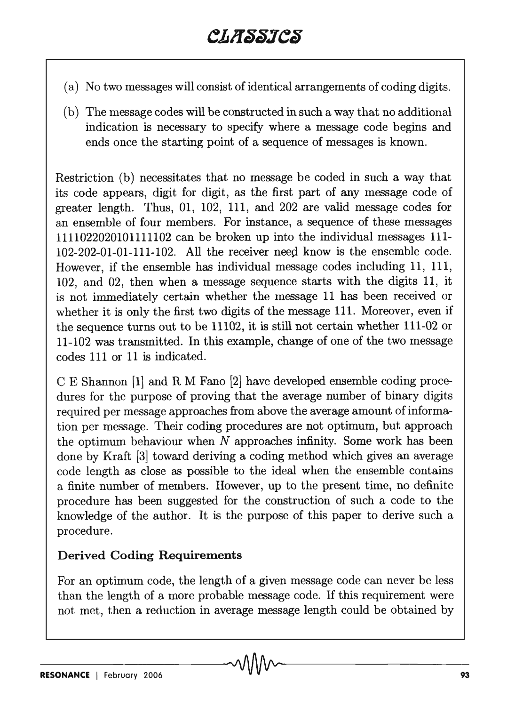- ( a) No two messages will consist of identical arrangements of coding digits.
- (b) The message codes will be constructed in such a way that no additional indication is necessary to specify where a message code begins and ends once the starting point of a sequence of messages is known.

Restriction (b) necessitates that no message be coded in such a way that its code appears, digit for digit, as the first part of any message code of greater length. Thus, 01, 102, 111, and 202 are valid message codes for an ensemble of four members. For instance, a sequence of these messages 1111022020101111102 can be broken up into the individual messages 111-  $102-202-01-01-111-102$ . All the receiver need know is the ensemble code. However, if the ensemble has individual message codes including 11, 111, 102, and 02, then when a message sequence starts with the digits 11, it is not immediately certain whether the message 11 has been received or whether it is only the first two digits of the message 111. Moreover, even if the sequence turns out to be 11102, it is still not certain whether 111-02 or 11-102 was transmitted. In this example, change of one of the two message codes 111 or 11 is indicated.

C E Shannon (1] and R M Fano [2] have developed ensemble coding procedures for the purpose of proving that the average number of binary digits required per message approaches from above the average amount of information per message. Their coding procedures are not optimum, but approach the optimum behaviour when *N* approaches infinity. Some work has been done by Kraft [3] toward deriving a coding method which gives an average code length as close as possible to the ideal when the ensemble contains a finite number of members. However, up to the present time, no definite procedure has been suggested for the construction of such a code to the knowledge of the author. It is the purpose of this paper to derive such a procedure.

### Derived Coding Requirements

For an optimum code, the length of a given message code can never be less than the length of a more probable message code. If this requirement were not met, then a reduction in average message length could be obtained by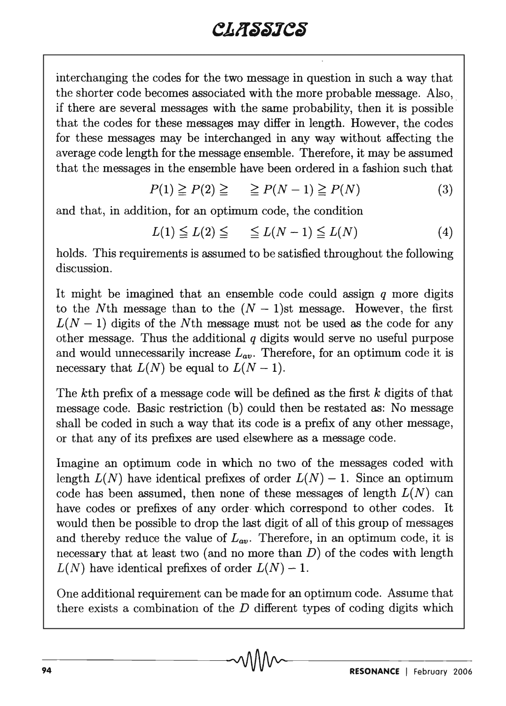interchanging the codes for the two message in question in such a way that the shorter code becomes associated with the more probable message. Also,. if there are several messages with the same probability, then it is possible that the codes for these messages may differ in length. However, the codes for these messages may be interchanged in any way without affecting the average code length for the message ensemble. Therefore, it may be assumed that the messages in the ensemble have been ordered in a fashion such that

$$
P(1) \ge P(2) \ge \ge P(N-1) \ge P(N) \tag{3}
$$

and that, in addition, for an optimum code, the condition

$$
L(1) \leqq L(2) \leqq \qquad \leqq L(N-1) \leqq L(N) \tag{4}
$$

holds. This requirements is assumed to be satisfied throughout the following discussion.

It might be imagined that an ensemble code could assign  $q$  more digits to the Nth message than to the  $(N - 1)$ st message. However, the first  $L(N-1)$  digits of the Nth message must not be used as the code for any other message. Thus the additional *q* digits would serve no useful purpose and would unnecessarily increase  $L_{av}$ . Therefore, for an optimum code it is necessary that  $L(N)$  be equal to  $L(N-1)$ .

The *kth* prefix of a message code will be defined as the first *k* digits of that message code. Basic restriction (b) could then be restated as: No message shall be coded in such a way that its code is a prefix of any other message, or that any of its prefixes are used elsewhere as a message code.

Imagine an optimum code in which no two of the messages coded with length  $L(N)$  have identical prefixes of order  $L(N) - 1$ . Since an optimum code has been assumed, then none of these messages of length  $L(N)$  can have codes or prefixes of any order which correspond to other codes. It would then be possible to drop the last digit of all of this group of messages and thereby reduce the value of  $L_{av}$ . Therefore, in an optimum code, it is necessary that at least two (and no more than  $D$ ) of the codes with length  $L(N)$  have identical prefixes of order  $L(N) - 1$ .

One additional requirement can be made for an optimum code. Assume that there exists a combination of the  $D$  different types of coding digits which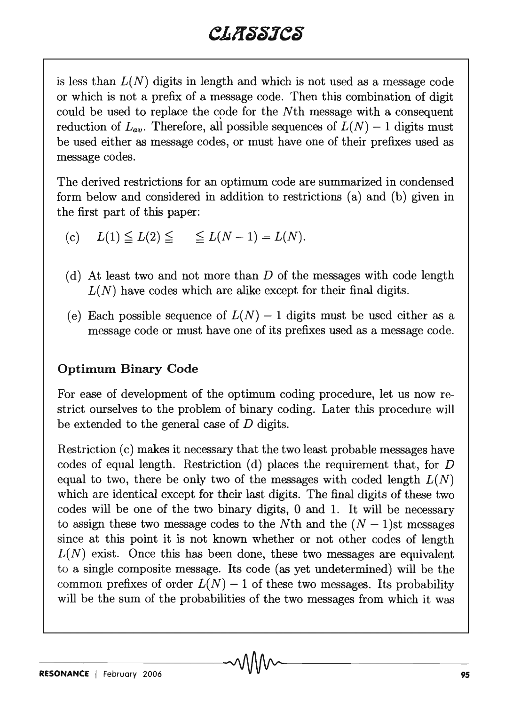is less than  $L(N)$  digits in length and which is not used as a message code or which is not a prefix of a message code. Then this combination of digit could be used to replace the code for the Nth message with a consequent reduction of  $L_{an}$ . Therefore, all possible sequences of  $L(N) - 1$  digits must be used either as message codes, or must have one of their prefixes used as message codes.

The derived restrictions for an optimum code are summarized in condensed form below and considered in addition to restrictions (a) and (b) given in the first part of this paper:

- (c)  $L(1) \le L(2) \le \le L(N-1) = L(N)$ .
- (d) At least two and not more than  $D$  of the messages with code length  $L(N)$  have codes which are alike except for their final digits.
- (e) Each possible sequence of  $L(N) 1$  digits must be used either as a message code or must have one of its prefixes used as a message code.

### **Optimum Binary Code**

For ease of development of the optimum coding procedure, let us now restrict ourselves to the problem of binary coding. Later this procedure will be extended to the general case of D digits.

Restriction (c) makes it necessary that the two least probable messages have codes of equal length. Restriction (d) places the requirement that, for D equal to two, there be only two of the messages with coded length  $L(N)$ which are identical except for their last digits. The final digits of these two codes will be one of the two binary digits, 0 and 1. It will be necessary to assign these two message codes to the Nth and the  $(N - 1)$ st messages since at this point it is not known whether or not other codes of length  $L(N)$  exist. Once this has been done, these two messages are equivalent to a single composite message. Its code (as yet undetermined) will be the common prefixes of order  $L(N) - 1$  of these two messages. Its probability will be the sum of the probabilities of the two messages from which it was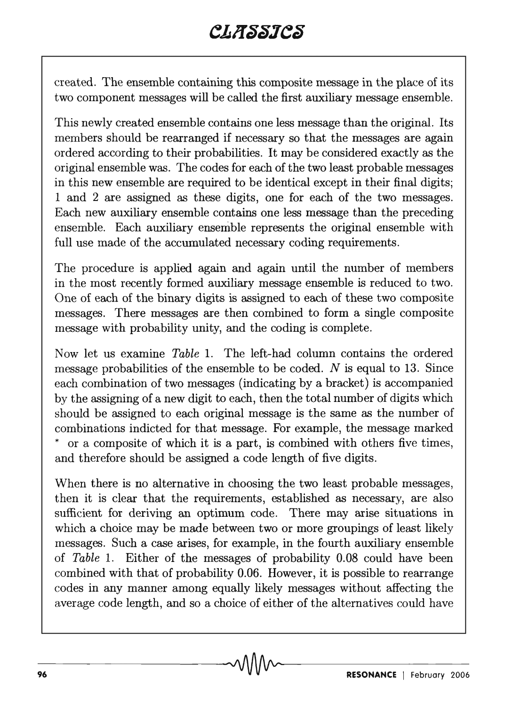created. The ensemble containing this composite message in the place of its two component messages will be called the first auxiliary message ensemble.

This newly created ensemble contains one less message than the original. Its members should be rearranged if necessary so that the messages are again ordered according to their probabilities. It may be considered exactly as the original ensemble was. The codes for each of the two least probable messages in this new ensemble are required to be identical except in their final digits; 1 and 2 are assigned as these digits, one for each of the two messages. Each new auxiliary ensemble contains one less message than the preceding ensemble. Each auxiliary ensemble represents the original ensemble with full use made of the accumulated necessary coding requirements.

The procedure is applied again and again until the number of members in the most recently formed auxiliary message ensemble is reduced to two. One of each of the binary digits is assigned to each of these two composite messages. There messages are then combined to form a single composite message with probability unity, and the coding is complete.

Now let us examine *Table* 1. The left-had column contains the ordered message probabilities of the ensemble to be coded. *N* is equal to 13. Since each combination of two messages (indicating by a bracket) is accompanied by the assigning of a new digit to each, then the total number of digits which should be assigned to each original message is the same as the number of combinations indicted for that message. For example, the message marked or a composite of which it is a part, is combined with others five times, and therefore should be assigned a code length of five digits.

When there is no alternative in choosing the two least probable messages, then it is clear that the requirements, established as necessary, are also sufficient for deriving an optimum code. There may arise situations in which a choice may be made between two or more groupings of least likely messages. Such a case arises, for example, in the fourth auxiliary ensemble of *Table* 1. Either of the messages of probability 0.08 could have been combined with that of probability 0.06. However, it is possible to rearrange codes in any manner among equally likely messages without affecting the average code length, and so a choice of either of the alternatives could have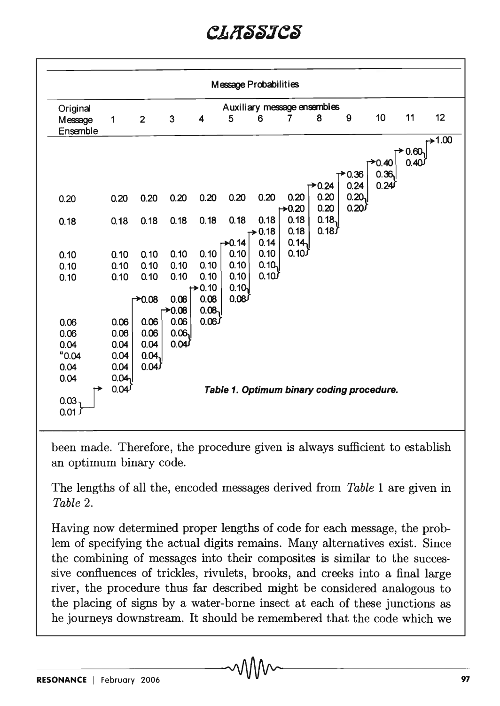| Message Probabilities                   |                                 |                |                            |              |                    |                            |              |                                           |                    |         |      |         |
|-----------------------------------------|---------------------------------|----------------|----------------------------|--------------|--------------------|----------------------------|--------------|-------------------------------------------|--------------------|---------|------|---------|
| Auxiliary message ensembles<br>Original |                                 |                |                            |              |                    |                            |              |                                           |                    |         |      |         |
| Message<br>Ensemble                     | $\mathbf{1}$                    | $\overline{2}$ | 3                          | 4            | 5                  | 6                          | 7            | 8                                         | 9                  | 10      | 11   | 12      |
|                                         |                                 |                |                            |              |                    |                            |              |                                           |                    |         | 0.60 | $+1.00$ |
|                                         |                                 |                |                            |              |                    |                            |              |                                           |                    | $+0.40$ | 0.40 |         |
|                                         |                                 |                |                            |              |                    |                            |              |                                           | $\rightarrow 0.36$ | 0.36    |      |         |
|                                         |                                 |                |                            |              |                    |                            |              | 70.24                                     | 0.24               | 0.24    |      |         |
| 0.20                                    | 0.20                            | 0.20           | 0.20                       | 0.20         | 0.20               | 0.20                       | 0.20         | 0.20                                      | 0.20               |         |      |         |
|                                         |                                 |                |                            |              |                    |                            | $+0.20$      | 0.20                                      | $0.20^{1}$         |         |      |         |
| 0.18                                    | 0.18                            | 0.18           | 0.18                       | 0.18         | 0.18               | 0.18<br>$\rightarrow 0.18$ | 0.18<br>0.18 | 0.18<br>0.18                              |                    |         |      |         |
|                                         |                                 |                |                            |              | $\rightarrow 0.14$ | 0.14                       | 0.14         |                                           |                    |         |      |         |
| 0.10                                    | 0.10                            | 0.10           | 0.10                       | 0.10         | 0.10               | 0.10                       | $0.10^{f}$   |                                           |                    |         |      |         |
| 0.10                                    | 0.10                            | 0.10           | 0.10                       | 0.10         | 0.10               | 0.10                       |              |                                           |                    |         |      |         |
| 0.10                                    | 0.10                            | 0.10           | 0.10                       | 0.10         | 0.10               | 0.10                       |              |                                           |                    |         |      |         |
|                                         |                                 |                |                            | $+0.10$      | 0.10               |                            |              |                                           |                    |         |      |         |
|                                         |                                 | $+0.08$        | 0.08<br>$\rightarrow 0.08$ | 0.08<br>0.08 | $0.08^{f}$         |                            |              |                                           |                    |         |      |         |
| 0.06                                    | 0.06                            | 0.06           | 0.06                       | 0.06         |                    |                            |              |                                           |                    |         |      |         |
| 0.06                                    | 0.06                            | 0.06           | 0.06                       |              |                    |                            |              |                                           |                    |         |      |         |
| 0.04                                    | 0.04                            | 0.04           | 0.04                       |              |                    |                            |              |                                           |                    |         |      |         |
| "0.04"                                  | 0.04                            | 0.04           |                            |              |                    |                            |              |                                           |                    |         |      |         |
| 0.04                                    | 0.04                            | 0.04           |                            |              |                    |                            |              |                                           |                    |         |      |         |
| 0.04                                    | 0.04 <sub>0</sub><br>$0.04^{j}$ |                |                            |              |                    |                            |              |                                           |                    |         |      |         |
| $0.03 -$                                |                                 |                |                            |              |                    |                            |              | Table 1. Optimum binary coding procedure. |                    |         |      |         |

been made. Therefore, the procedure given is always sufficient to establish an optimum binary code.

The lengths of all the, encoded messages derived from *Table* 1 are given in *Table 2.* 

Having now determined proper lengths of code for each message, the problem of specifying the actual digits remains. Many alternatives exist. Since the combining of messages into their composites is similar to the successive confluences of trickles, rivulets, brooks, and creeks into a final large river, the procedure thus far described might be considered analogous to the placing of signs by a water-borne insect at each of these junctions as he journeys downstream. It should be remembered that the code which we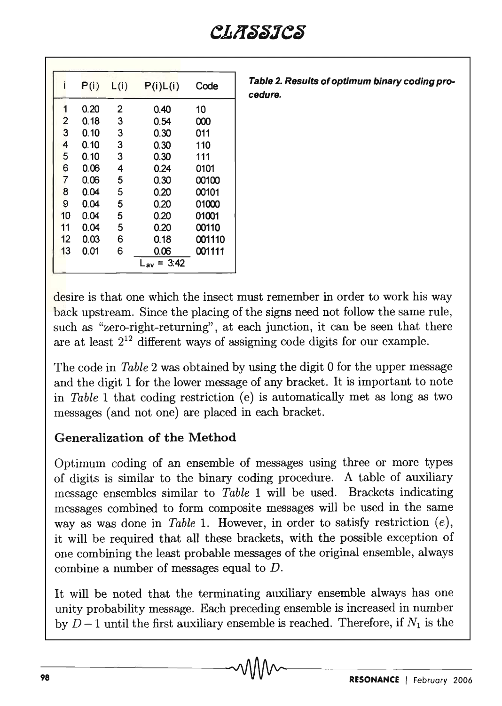|                | P(i) | L(i) | P(i)L(i)        | Code   |
|----------------|------|------|-----------------|--------|
|                | 0.20 | 2    | 0.40            | 10     |
|                | 0.18 | 3    | 0.54            | 000    |
| $\frac{2}{3}$  | 0.10 | 3    | 0.30            | 011    |
| 4              | 0.10 | 3    | 0.30            | 110    |
| 5              | 0.10 | 3    | 0.30            | 111    |
| 6              | 0.06 | 4    | 0.24            | 0101   |
| $\overline{7}$ | 0.06 | 5    | 0.30            | 00100  |
| 8              | 0.04 | 5    | 0.20            | 00101  |
| 9              | 0.04 | 5    | 0.20            | 01000  |
| 10             | 0.04 | 5    | 0.20            | 01001  |
| 11             | 0.04 | 5    | 0.20            | 00110  |
| 12             | 0.03 | 6    | 0.18            | 001110 |
| 13             | 0.01 | 6    | 0.06            | 001111 |
|                |      |      | $L_{av} = 3:42$ |        |

Table 2. Results of optimum binary coding procedure.

desire is that one which the insect must remember in order to work his way back upstream. Since the placing of the signs need not follow the same rule, such as "zero-right-returning", at each junction, it can be seen that there are at least  $2^{12}$  different ways of assigning code digits for our example.

The code in *Table* 2 was obtained by using the digit 0 for the upper message and the digit 1 for the lower message of any bracket. It is important to note in *Table* 1 that coding restriction (e) is automatically met as long as two messages (and not one) are placed in each bracket.

### Generalization of the Method

Optimum coding of an ensemble of messages using three or more types of digits is similar to the binary coding procedure. A table of auxiliary message ensembles similar to *Table* 1 will be used. Brackets indicating messages combined to form composite messages will be used in the same way as was done in *Table* 1. However, in order to satisfy restriction *(e),*  it will be required that all these brackets, with the possible exception of one combining the least probable messages of the original ensemble, always combine a number of messages equal to D.

It will be noted that the terminating auxiliary ensemble always has one unity probability message. Each preceding ensemble is increased in number by  $D-1$  until the first auxiliary ensemble is reached. Therefore, if  $N_1$  is the